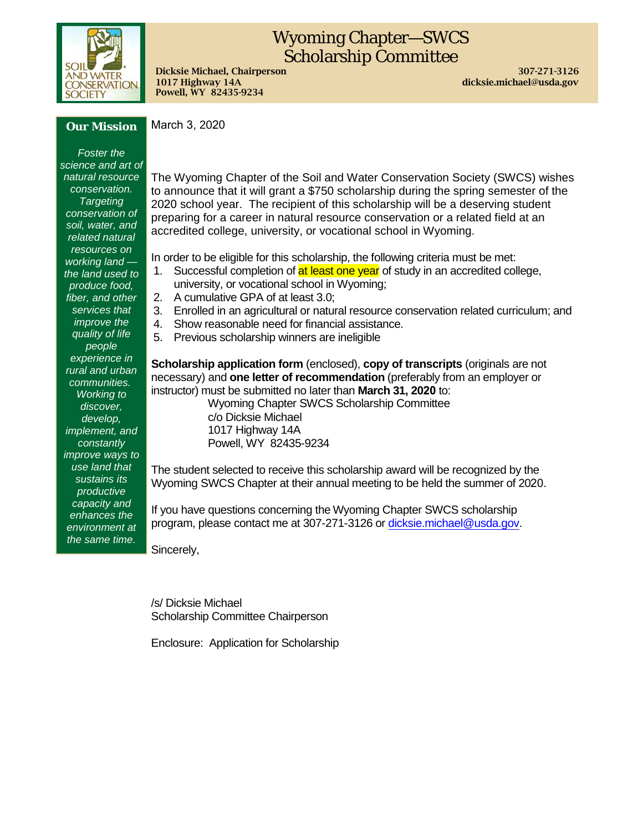

# Wyoming Chapter—SWCS Scholarship Committee

Dicksie Michael, Chairperson 307-271-3126 1017 Highway 14A dicksie.michael@usda.gov Powell, WY 82435-9234

### *Our Mission*

*Foster the science and art of natural resource conservation. Targeting conservation of soil, water, and related natural resources on working land the land used to produce food, fiber, and other services that improve the quality of life people experience in rural and urban communities. Working to discover, develop, implement, and constantly improve ways to use land that sustains its productive capacity and enhances the environment at the same time.*

March 3, 2020

The Wyoming Chapter of the Soil and Water Conservation Society (SWCS) wishes to announce that it will grant a \$750 scholarship during the spring semester of the 2020 school year. The recipient of this scholarship will be a deserving student preparing for a career in natural resource conservation or a related field at an accredited college, university, or vocational school in Wyoming.

In order to be eligible for this scholarship, the following criteria must be met:

- 1. Successful completion of at least one year of study in an accredited college, university, or vocational school in Wyoming;
- 2. A cumulative GPA of at least 3.0;
- 3. Enrolled in an agricultural or natural resource conservation related curriculum; and
- 4. Show reasonable need for financial assistance.
- 5. Previous scholarship winners are ineligible

**Scholarship application form** (enclosed), **copy of transcripts** (originals are not necessary) and **one letter of recommendation** (preferably from an employer or instructor) must be submitted no later than **March 31, 2020** to:

Wyoming Chapter SWCS Scholarship Committee c/o Dicksie Michael 1017 Highway 14A Powell, WY 82435-9234

The student selected to receive this scholarship award will be recognized by the Wyoming SWCS Chapter at their annual meeting to be held the summer of 2020.

If you have questions concerning the Wyoming Chapter SWCS scholarship program, please contact me at 307-271-3126 or [dicksie.michael@usda.gov.](mailto:dicksie.michael@wy.usda.gov)

Sincerely,

/s/ Dicksie Michael Scholarship Committee Chairperson

Enclosure: Application for Scholarship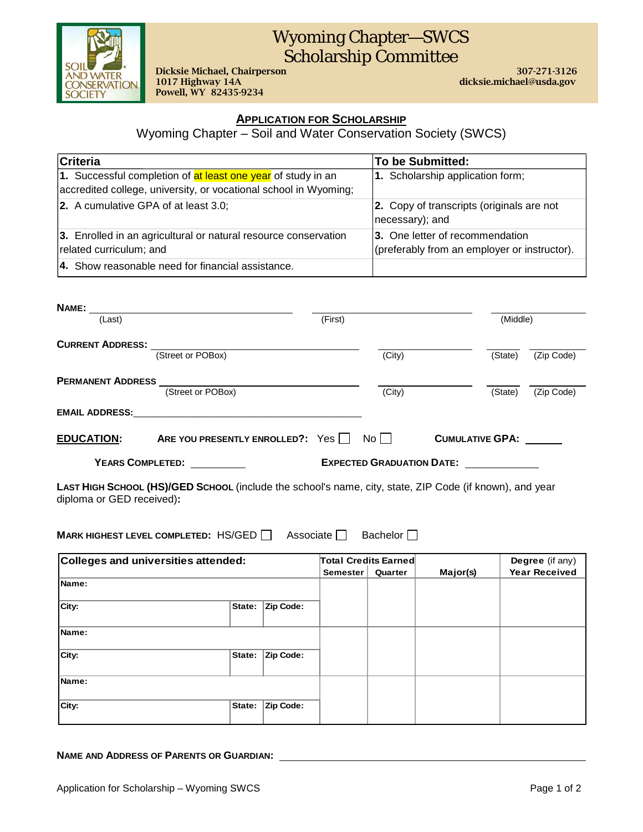

## Wyoming Chapter—SWCS Scholarship Committee

Dicksie Michael, Chairperson 307-271-3126 Powell, WY 82435-9234

dicksie.michael@usda.gov

### **APPLICATION FOR SCHOLARSHIP**

Wyoming Chapter – Soil and Water Conservation Society (SWCS)

| Criteria                                                                                                                         | To be Submitted:                                                                |
|----------------------------------------------------------------------------------------------------------------------------------|---------------------------------------------------------------------------------|
| 1. Successful completion of at least one year of study in an<br>accredited college, university, or vocational school in Wyoming; | 1. Scholarship application form;                                                |
| 2. A cumulative GPA of at least 3.0;                                                                                             | 2. Copy of transcripts (originals are not<br>necessary); and                    |
| 3. Enrolled in an agricultural or natural resource conservation<br>related curriculum; and                                       | 3. One letter of recommendation<br>(preferably from an employer or instructor). |
| 4. Show reasonable need for financial assistance.                                                                                |                                                                                 |

| NAME:                    |                                  |         |                                  |                        |            |  |
|--------------------------|----------------------------------|---------|----------------------------------|------------------------|------------|--|
| (Last)                   |                                  | (First) |                                  |                        | (Middle)   |  |
| <b>CURRENT ADDRESS:</b>  | (Street or POBox)                |         | (City)                           | (State)                | (Zip Code) |  |
| <b>PERMANENT ADDRESS</b> | (Street or POBox)                |         | (City)                           | (State)                | (Zip Code) |  |
| <b>EMAIL ADDRESS:</b>    |                                  |         |                                  |                        |            |  |
| <b>EDUCATION:</b>        | ARE YOU PRESENTLY ENROLLED?: Yes |         | No II                            | <b>CUMULATIVE GPA:</b> |            |  |
| <b>YEARS COMPLETED:</b>  |                                  |         | <b>EXPECTED GRADUATION DATE:</b> |                        |            |  |

**LAST HIGH SCHOOL (HS)/GED SCHOOL** (include the school's name, city, state, ZIP Code (if known), and year diploma or GED received)**:** 

**MARK HIGHEST LEVEL COMPLETED:** HS/GED  $\Box$  Associate  $\Box$  Bachelor  $\Box$ 

| Colleges and universities attended: |        |           | <b>Total Credits Earned</b><br>Semester | Quarter | Major(s) | Degree (if any)<br><b>Year Received</b> |
|-------------------------------------|--------|-----------|-----------------------------------------|---------|----------|-----------------------------------------|
| Name:                               |        |           |                                         |         |          |                                         |
| City:                               | State: | Zip Code: |                                         |         |          |                                         |
| Name:                               |        |           |                                         |         |          |                                         |
| City:                               | State: | Zip Code: |                                         |         |          |                                         |
| Name:                               |        |           |                                         |         |          |                                         |
| City:                               | State: | Zip Code: |                                         |         |          |                                         |

**NAME AND ADDRESS OF PARENTS OR GUARDIAN:**